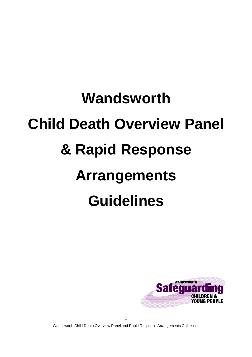# **Wandsworth Child Death Overview Panel & Rapid Response Arrangements Guidelines**



1

Wandsworth Child Death Overview Panel and Rapid Response Arrangements Guidelines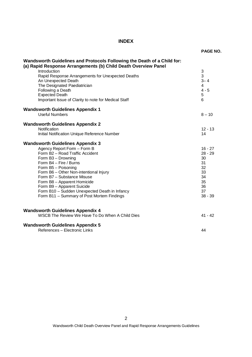# **INDEX**

| Wandsworth Guidelines and Protocols Following the Death of a Child for:<br>(a) Rapid Response Arrangements (b) Child Death Overview Panel<br>Introduction<br>Rapid Response Arrangements for Unexpected Deaths<br>An Unexpected Death<br>The Designated Paediatrician<br>Following a Death<br><b>Expected Death</b><br>Important Issue of Clarity to note for Medical Staff | 3<br>3<br>$3 - 4$<br>4<br>$4 - 5$<br>5<br>6                       |
|-----------------------------------------------------------------------------------------------------------------------------------------------------------------------------------------------------------------------------------------------------------------------------------------------------------------------------------------------------------------------------|-------------------------------------------------------------------|
| <b>Wandsworth Guidelines Appendix 1</b><br><b>Useful Numbers</b>                                                                                                                                                                                                                                                                                                            | $8 - 10$                                                          |
| <b>Wandsworth Guidelines Appendix 2</b><br>Notification<br>Initial Notification Unique Reference Number<br><b>Wandsworth Guidelines Appendix 3</b><br>Agency Report Form - Form B<br>Form B2 - Road Traffic Accident<br>Form B3 - Drowning<br>Form B4 - Fire / Burns<br>Form B5 - Poisoning<br>Form B6 - Other Non-intentional Injury                                       | $12 - 13$<br>14<br>$16 - 27$<br>$28 - 29$<br>30<br>31<br>32<br>33 |
| Form B7 - Substance Misuse<br>Form B8 - Apparent Homicide<br>Form B9 - Apparent Suicide<br>Form B10 - Sudden Unexpected Death in Infancy<br>Form B11 - Summary of Post Mortem Findings                                                                                                                                                                                      | 34<br>35<br>36<br>37<br>$38 - 39$                                 |
| <b>Wandsworth Guidelines Appendix 4</b><br>WSCB The Review We Have To Do When A Child Dies                                                                                                                                                                                                                                                                                  | $41 - 42$                                                         |
| <b>Wandsworth Guidelines Appendix 5</b><br>References - Electronic Links                                                                                                                                                                                                                                                                                                    | 44                                                                |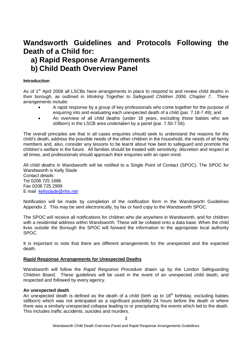# **Wandsworth Guidelines and Protocols Following the Death of a Child for:**

# **a) Rapid Response Arrangements**

**b) Child Death Overview Panel** 

# **Introduction**

As of  $1<sup>st</sup>$  April 2008 all LSCBs have arrangements in place to respond to and review child deaths in their borough, as outlined in Working Together to Safeguard Children 2006, Chapter 7. There arrangements include:

- � A rapid response by a group of key professionals who come together for the purpose of enquiring into and evaluating each unexpected death of a child (par. 7.18-7.49); and
- An overview of all child deaths (under 18 years, excluding those babies who are stillborn) in the LSCB area undertaken by a panel (par. 7.50-7.56)

The overall principles are that in all cases enquiries should seek to understand the reasons for the child's death, address the possible needs of the other children in the household, the needs of all family members and, also, consider any lessons to be learnt about how best to safeguard and promote the children's welfare in the future. All families should be treated with sensitivity, discretion and respect at all times, and professionals should approach their enquiries with an open mind.

All child deaths in Wandsworth will be notified to a Single Point of Contact (SPOC). The SPOC for Wandsworth is Kelly Slade Contact details: Tel 0208 725 1686 Fax 0208 725 2999 E mail kellyslade@nhs.net

Notification will be made by completion of the notification form in the Wandsworth Guidelines Appendix 2. This may be sent electronically, by fax or hard copy to the Wandsworth SPOC.

The SPOC will receive all notifications for children who die anywhere in Wandsworth, and for children with a residential address within Wandsworth. These will be collated onto a data base. When the child lives outside the Borough the SPOC will forward the information to the appropriate local authority SPOC.

It is important to note that there are different arrangements for the unexpected and the expected death.

## **Rapid Response Arrangements for Unexpected Deaths**

Wandsworth will follow the Rapid Response Procedure drawn up by the London Safeguarding Children Board. These guidelines will be used in the event of an unexpected child death, and respected and followed by every agency.

## **An unexpected death**

An unexpected death is defined as the death of a child (birth up to  $18<sup>th</sup>$  birthday, excluding babies stillborn) which was not anticipated as a significant possibility 24 hours before the death or where there was a similarly unexpected collapse leading to or precipitating the events which led to the death. This includes traffic accidents, suicides and murders.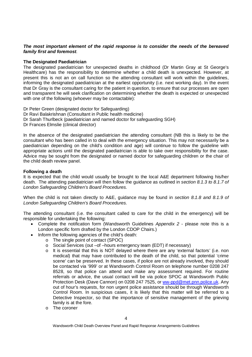#### **The most important element of the rapid response is to consider the needs of the bereaved family first and foremost**.

#### **The Designated Paediatrician**

The designated paediatrician for unexpected deaths in childhood (Dr Martin Gray at St George's Healthcare) has the responsibility to determine whether a child death is unexpected. However, at present this is not an on call function so the attending consultant will work within the guidelines, informing the designated paediatrician at the earliest opportunity (i.e. next working day). In the event that Dr Gray is the consultant caring for the patient in question, to ensure that our processes are open and transparent he will seek clarification on determining whether the death is expected or unexpected with one of the following (whoever may be contactable):

Dr Peter Green (designated doctor for Safeguarding) Dr Ravi Balakrishnan (Consultant in Public health medicine) Dr Sarah Thurlbeck (paediatrician and named doctor for safeguarding SGH) Dr Frances Elmslie (clinical director)

In the absence of the designated paediatrician the attending consultant (NB this is likely to be the consultant who has been called in to deal with the emergency situation. This may not necessarily be a paediatrician depending on the child's condition and age) will continue to follow the guideline with appropriate actions until the designated paediatrician is able to take over responsibility for the case. Advice may be sought from the designated or named doctor for safeguarding children or the chair of the child death review panel.

#### **Following a death**

It is expected that the child would usually be brought to the local A&E department following his/her death. The attending paediatrician will then follow the guidance as outlined in section 8.1.3 to 8.1.7 of London Safeguarding Children's Board Procedures.

When the child is not taken directly to A&E, guidance may be found in section 8.1.8 and 8.1.9 of London Safeguarding Children's Board Procedures.

The attending consultant (i.e. the consultant called to care for the child in the emergency) will be responsible for undertaking the following:

- Complete the notification form (Wandsworth Guidelines Appendix 2 please note this is a London specific form drafted by the London CDOP Chairs.)
- Inform the following agencies of the child's death:
	- o The single point of contact (SPOC)
	- o Social Services (out –of –hours emergency team (EDT) if necessary)
	- o It is essential that this is NOT delayed where there are any 'external factors' (i.e. non medical) that may have contributed to the death of the child, so that potential 'crime scene' can be preserved. In these cases, if police are not already involved, they should be contacted via '999' or at Wandsworth Control Room on telephone number 0208 247 8528, so that police can attend and make any assessment required. For routine referrals or advice, the usual contact will be via police SPOC at Wandsworth Public Protection Desk (Dave Cannon) on 0208 247 7525, or ww-ppd@met.pnn.police.uk. Any out of hour's requests, for non urgent police assistance should be through Wandsworth Control Room. In suspicious cases, it is likely that this matter will be referred to a Detective Inspector, so that the importance of sensitive management of the grieving family is at the fore.
	- o The coroner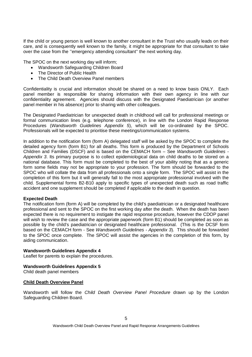If the child or young person is well known to another consultant in the Trust who usually leads on their care, and is consequently well known to the family, it might be appropriate for that consultant to take over the case from the ''emergency attending consultant'' the next working day.

The SPOC on the next working day will inform;

- � Wandsworth Safeguarding Children Board
- The Director of Public Health
- � The Child Death Overview Panel members

Confidentiality is crucial and information should be shared on a need to know basis ONLY. Each panel member is responsible for sharing information with their own agency in line with our confidentiality agreement. Agencies should discuss with the Designated Paediatrician (or another panel member in his absence) prior to sharing with other colleagues.

The Designated Paediatrician for unexpected death in childhood will call for professional meetings or formal communication lines (e.g. telephone conference), in line with the London Rapid Response Procedures (Wandsworth Guidelines Appendix 5), which will be co-ordinated by the SPOC. Professionals will be expected to prioritise these meetings/communication systems.

In addition to the notification form (form A) delegated staff will be asked by the SPOC to complete the detailed agency form (form B1) for all deaths. This form is produced by the Department of Schools Children and Families (DSCF) and is based on the CEMACH form – See Wandsworth Guidelines - Appendix 3. Its primary purpose is to collect epidemiological data on child deaths to be stored on a national database. This form must be completed to the best of your ability noting that as a generic form some fields may not be appropriate to your profession. The form should be forwarded to the SPOC who will collate the data from all professionals onto a single form. The SPOC will assist in the completion of this form but it will generally fall to the most appropriate professional involved with the child. Supplemental forms B2-B10 apply to specific types of unexpected death such as road traffic accident and one supplement should be completed if applicable to the death in question.

#### **Expected Death**

The notification form (form A) will be completed by the child's paediatrician or a designated healthcare professional and sent to the SPOC on the first working day after the death. When the death has been expected there is no requirement to instigate the rapid response procedure, however the CDOP panel will wish to review the case and the appropriate paperwork (form B1) should be completed as soon as possible by the child's paediatrician or designated healthcare professional. (This is the DCSF form based on the CEMACH form - See Wandsworth Guidelines - Appendix 3). This should be forwarded to the SPOC once complete. The SPOC will assist the agencies in the completion of this form, by aiding communication.

#### **Wandsworth Guidelines Appendix 4**

Leaflet for parents to explain the procedures.

#### **Wandsworth Guidelines Appendix 5**

Child death panel members

#### **Child Death Overview Panel**

Wandsworth will follow the Child Death Overview Panel Procedure drawn up by the London Safeguarding Children Board.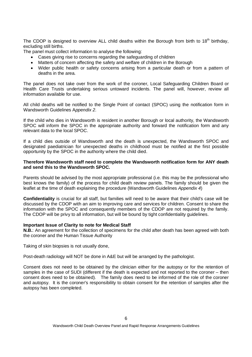The CDOP is designed to overview ALL child deaths within the Borough from birth to 18<sup>th</sup> birthday, excluding still births.

The panel must collect information to analyse the following:

- � Cases giving rise to concerns regarding the safeguarding of children
- � Matters of concern affecting the safety and welfare of children in the Borough
- � Wider public health or safety concerns arising from a particular death or from a pattern of deaths in the area.

The panel does not take over from the work of the coroner, Local Safeguarding Children Board or Health Care Trusts undertaking serious untoward incidents. The panel will, however, review all information available for use.

All child deaths will be notified to the Single Point of contact (SPOC) using the notification form in Wandsworth Guidelines Appendix 2.

If the child who dies in Wandsworth is resident in another Borough or local authority, the Wandsworth SPOC will inform the SPOC in the appropriate authority and forward the notification form and any relevant data to the local SPOC.

If a child dies outside of Wandsworth and the death is unexpected, the Wandsworth SPOC and designated paediatrician for unexpected deaths in childhood must be notified at the first possible opportunity by the SPOC in the authority where the child died.

#### **Therefore Wandsworth staff need to complete the Wandsworth notification form for ANY death and send this to the Wandsworth SPOC.**

Parents should be advised by the most appropriate professional (i.e. this may be the professional who best knows the family) of the process for child death review panels. The family should be given the leaflet at the time of death explaining the procedure (Wandsworth Guidelines Appendix 4)

**Confidentiality** is crucial for all staff, but families will need to be aware that their child's case will be discussed by the CDOP with an aim to improving care and services for children. Consent to share the information with the SPOC and consequently members of the CDOP are not required by the family. The CDOP will be privy to all information, but will be bound by tight confidentiality guidelines.

#### **Important Issue of Clarity to note for Medical Staff**

**N.B.**: An agreement for the collection of specimens for the child after death has been agreed with both the coroner and the Human Tissue Authority

Taking of skin biopsies is not usually done,

Post-death radiology will NOT be done in A&E but will be arranged by the pathologist.

Consent does not need to be obtained by the clinician either for the autopsy or for the retention of samples in the case of SUDI (different if the death is expected and not reported to the coroner – then consent does need to be obtained). The family does need to be informed of the role of the coroner and autopsy. It is the coroner's responsibility to obtain consent for the retention of samples after the autopsy has been completed.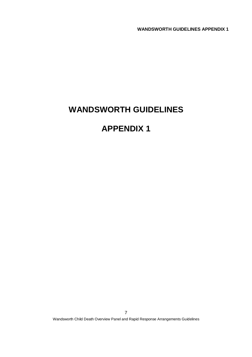# **WANDSWORTH GUIDELINES**

# **APPENDIX 1**

Wandsworth Child Death Overview Panel and Rapid Response Arrangements Guidelines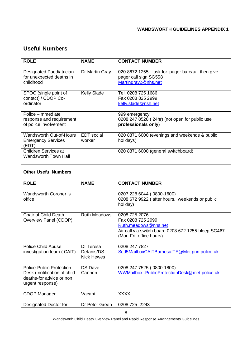# **Useful Numbers**

| <b>ROLE</b>                                                             | <b>NAME</b>                 | <b>CONTACT NUMBER</b>                                                                             |
|-------------------------------------------------------------------------|-----------------------------|---------------------------------------------------------------------------------------------------|
| Designated Paediatrician<br>for unexpected deaths in<br>childhood       | Dr Martin Gray              | 020 8672 1255 – ask for 'pager bureau', then give<br>pager call sign SG558<br>Martingray2@nhs.net |
| SPOC (single point of<br>contact) / CDOP Co-<br>ordinator               | <b>Kelly Slade</b>          | Tel. 0208 725 1686<br>Fax 0208 825 2999<br>kelly.slade@nsh.net                                    |
| Police - Immediate<br>response and requirement<br>of police involvement |                             | 999 emergency<br>0208 247 8528 (24hr) (not open for public use<br>professionals only)             |
| Wandsworth Out-of-Hours<br><b>Emergency Services</b><br>(EDT)           | <b>EDT</b> social<br>worker | 020 8871 6000 (evenings and weekends & public<br>holidays)                                        |
| Children Services at<br>Wandsworth Town Hall                            |                             | 020 8871 6000 (general switchboard)                                                               |

# **Other Useful Numbers**

| <b>ROLE</b>                                                                                             | <b>NAME</b>                                  | <b>CONTACT NUMBER</b>                                                                                                                       |
|---------------------------------------------------------------------------------------------------------|----------------------------------------------|---------------------------------------------------------------------------------------------------------------------------------------------|
| Wandsworth Coroner 's<br>office                                                                         |                                              | 0207 228 6044 (0800-1600)<br>0208 672 9922 (after hours, weekends or public<br>holiday)                                                     |
| <b>Chair of Child Death</b><br>Overview Panel (CDOP)                                                    | <b>Ruth Meadows</b>                          | 0208 725 2076<br>Fax 0208 725 2999<br>Ruth.meadows@nhs.net<br>Air call via switch board 0208 672 1255 bleep SG467<br>(Mon-Fri office hours) |
| <b>Police Child Abuse</b><br>investigation team (CAIT)                                                  | DI Teresa<br>Defanis/DS<br><b>Nick Hewes</b> | 0208 247 7827<br>Scd5MailboxCAITBarnesatTE@Met.pnn.police.uk                                                                                |
| Police-Public Protection<br>Desk (notification of child<br>deaths-for advice or non<br>urgent response) | <b>DS Dave</b><br>Cannon                     | 0208 247 7525 (0800-1800)<br>WWMailbox-.PublicProtectionDesk@met.police.uk                                                                  |
| <b>CDOP Manager</b>                                                                                     | Vacant                                       | <b>XXXX</b>                                                                                                                                 |
| Designated Doctor for                                                                                   | Dr Peter Green                               | 0208 725 2243                                                                                                                               |

Wandsworth Child Death Overview Panel and Rapid Response Arrangements Guidelines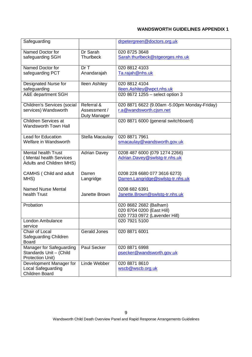| Safeguarding                                                                      |                                            | drpetergreen@doctors.org.uk                                                          |
|-----------------------------------------------------------------------------------|--------------------------------------------|--------------------------------------------------------------------------------------|
| Named Doctor for<br>safeguarding SGH                                              | Dr Sarah<br><b>Thurlbeck</b>               | 020 8725 3648<br>Sarah.thurlbeck@stgeorges.nhs.uk                                    |
| Named Doctor for<br>safeguarding PCT                                              | Dr T<br>Anandarajah                        | 020 8812 4103<br>Ta.rajah@nhs.uk                                                     |
| Designated Nurse for<br>safeguarding                                              | <b>Ileen Ashitey</b>                       | 020 8812 4104<br>lleen.Ashitey@wpct.nhs.uk                                           |
| A&E department SGH                                                                |                                            | 020 8672 1255 - select option 3                                                      |
| Children's Services (social<br>services) Wandsworth                               | Referral &<br>Assessment /<br>Duty Manager | 020 8871 6622 (9.00am -5.00pm Monday-Friday)<br>r.a@wandsworth.cjsm.net              |
| <b>Children Services at</b><br><b>Wandsworth Town Hall</b>                        |                                            | 020 8871 6000 (general switchboard)                                                  |
| <b>Lead for Education</b><br>Welfare in Wandsworth                                | Stella Macaulay                            | 020 8871 7961<br>smacaulay@wandsworth.gov.uk                                         |
| <b>Mental health Trust</b><br>(Mental health Services<br>Adults and Children MHS) | <b>Adrian Davey</b>                        | 0208 487 6000 (079 1274 2266)<br>Adrian.Davey@swlstg-tr.nhs.uk                       |
| CAMHS (Child and adult<br>MHS)                                                    | Darren<br>Langridge                        | 0208 228 6680 077 3616 6273)<br>Darren.Langridge@swlstg-tr.nhs.uk                    |
| Named Nurse Mental<br>health Trust                                                | Janette Brown                              | 0208 682 6391<br>Janette.Brown@swlstg-tr.nhs.uk                                      |
| Probation                                                                         |                                            | 020 8682 2682 (Balham)<br>020 8704 0200 (East Hill)<br>020 7733 0972 (Lavender Hill) |
| London Ambulance<br>service                                                       |                                            | 020 7921 5100                                                                        |
| Chair of Local<br>Safeguarding Children<br><b>Board</b>                           | Gerald Jones                               | 020 8871 6001                                                                        |
| <b>Manager for Safeguarding</b><br>Standards Unit - (Child<br>Protection Unit)    | Paul Secker                                | 020 8871 6998<br>psecker@wandsworth.gov.uk                                           |
| Development Manager for<br>Local Safeguarding<br><b>Children Board</b>            | Linde Webber                               | 020 8871 8610<br>wscb@wscb.org.uk                                                    |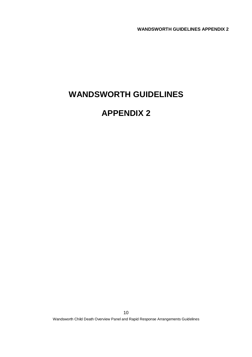# **WANDSWORTH GUIDELINES**

# **APPENDIX 2**

Wandsworth Child Death Overview Panel and Rapid Response Arrangements Guidelines 10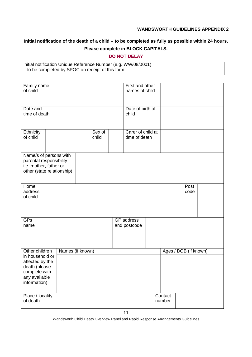# **Initial notification of the death of a child – to be completed as fully as possible within 24 hours.**

# **Please complete in BLOCK CAPITALS.**

# **DO NOT DELAY**

| Initial notification Unique Reference Number (e.g. WW/08/0001) |  |
|----------------------------------------------------------------|--|
| - to be completed by SPOC on receipt of this form              |  |
|                                                                |  |

| Family name<br>of child                                                                               |                            |                 | First and other<br>names of child  |                   |                       |  |
|-------------------------------------------------------------------------------------------------------|----------------------------|-----------------|------------------------------------|-------------------|-----------------------|--|
| Date and                                                                                              |                            |                 | Date of birth of                   |                   |                       |  |
| time of death                                                                                         |                            |                 | child                              |                   |                       |  |
| Ethnicity<br>of child                                                                                 |                            | Sex of<br>child | Carer of child at<br>time of death |                   |                       |  |
| Name/s of persons with<br>parental responsibility<br>i.e. mother, father or                           | other (state relationship) |                 |                                    |                   |                       |  |
| Home<br>address<br>of child                                                                           |                            |                 |                                    |                   | Post<br>code          |  |
| GFs<br>name                                                                                           |                            |                 | <b>GP</b> address<br>and postcode  |                   |                       |  |
| Other children                                                                                        | Names (if known)           |                 |                                    |                   | Ages / DOB (if known) |  |
| in household or<br>affected by the<br>death (please<br>complete with<br>any available<br>information) |                            |                 |                                    |                   |                       |  |
| Place / locality<br>of death                                                                          |                            |                 |                                    | Contact<br>number |                       |  |

Wandsworth Child Death Overview Panel and Rapid Response Arrangements Guidelines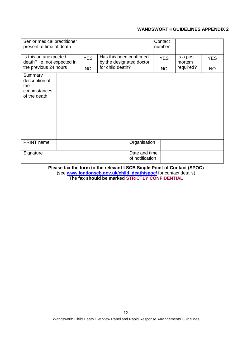| Senior medical practitioner<br>present at time of death                       |  |                                                                                       |  |                                  | Contact<br>number                 |            |           |
|-------------------------------------------------------------------------------|--|---------------------------------------------------------------------------------------|--|----------------------------------|-----------------------------------|------------|-----------|
| Is this an unexpected<br>death? i.e. not expected in<br>the previous 24 hours |  | Has this been confirmed<br><b>YES</b><br>by the designated doctor<br>for child death? |  | <b>YES</b>                       | Is a post-<br>mortem<br>required? | <b>YES</b> |           |
| Summary<br>description of<br>the<br>circumstances<br>of the death             |  | <b>NO</b>                                                                             |  |                                  | <b>NO</b>                         |            | <b>NO</b> |
| PRINT name                                                                    |  |                                                                                       |  | Organisation                     |                                   |            |           |
| Signature                                                                     |  |                                                                                       |  | Date and time<br>of notification |                                   |            |           |

**Please fax the form to the relevant LSCB Single Point of Contact (SPOC)**  (see **www.londonscb.gov.uk/child\_death/spoc/** for contact details) **The fax should be marked STRICTLY CONFIDENTIAL**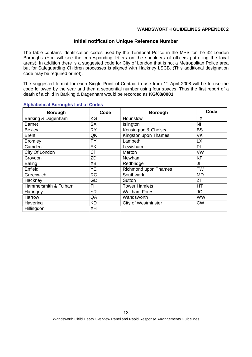#### **Initial notification Unique Reference Number**

The table contains identification codes used by the Territorial Police in the MPS for the 32 London Boroughs (You will see the corresponding letters on the shoulders of officers patrolling the local areas). In addition there is a suggested code for City of London that is not a Metropolitan Police area but for Safeguarding Children processes is aligned with Hackney LSCB. (This additional designation code may be required or not).

The suggested format for each Single Point of Contact to use from 1<sup>st</sup> April 2008 will be to use the code followed by the year and then a sequential number using four spaces. Thus the first report of a death of a child in Barking & Dagenham would be recorded as **KG/08/0001.**

| <b>Borough</b>       | Code      | <b>Borough</b>             | Code      |
|----------------------|-----------|----------------------------|-----------|
| Barking & Dagenham   | ΚG        | Hounslow                   | ТX        |
| <b>Barnet</b>        | <b>SX</b> | Islington                  | <b>NI</b> |
| <b>Bexley</b>        | <b>RY</b> | Kensington & Chelsea       | <b>BS</b> |
| <b>Brent</b>         | QK        | Kingston upon Thames       | VK        |
| <b>Bromley</b>       | PY        | Lambeth                    | LX        |
| Camden               | EK        | Lewisham                   | PL        |
| City Of London       | CI        | Merton                     | VW        |
| Croydon              | ZD        | Newham                     | <b>KF</b> |
| Ealing               | XB        | Redbridge                  | JI        |
| Enfield              | YΕ        | Richmond upon Thames       | <b>TW</b> |
| Greenwich            | <b>RG</b> | Southwark                  | <b>MD</b> |
| Hackney              | GD        | Sutton                     | ZT        |
| Hammersmith & Fulham | FH        | <b>Tower Hamlets</b>       | HT        |
| Haringey             | ΥR        | <b>Waltham Forest</b>      | JC        |
| Harrow               | QA        | Wandsworth                 | <b>WW</b> |
| Havering             | <b>KD</b> | <b>City of Westminster</b> | <b>CW</b> |
| Hillingdon           | XH        |                            |           |

#### **Alphabetical Boroughs List of Codes**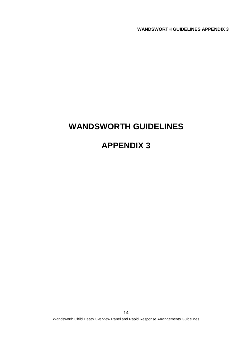# **WANDSWORTH GUIDELINES**

# **APPENDIX 3**

Wandsworth Child Death Overview Panel and Rapid Response Arrangements Guidelines 14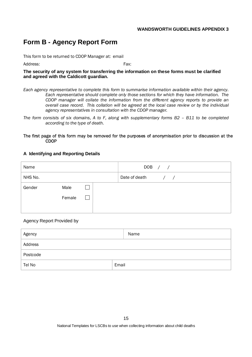# **Form B - Agency Report Form**

This form to be returned to CDOP Manager at: email

Address: Fax:

**The security of any system for transferring the information on these forms must be clarified and agreed with the Caldicott guardian.**

*Each agency representative to complete this form to summarise information available within their agency. Each representative should complete only those sections for which they have information. The CDOP manager will collate the information from the different agency reports to provide an overall case record. This collation will be agreed at the local case review or by the individual agency representatives in consultation with the CDOP manager.* 

*The form consists of six domains, A to F, along with supplementary forms B2 – B11 to be completed according to the type of death.* 

#### The first page of this form may be removed for the purposes of anonymisation prior to discussion at the **CDOP**

#### **A Identifying and Reporting Details**

| Name    |        |  |               | DOB / / |               |
|---------|--------|--|---------------|---------|---------------|
| NHS No. |        |  | Date of death |         | $\frac{1}{2}$ |
| Gender  | Male   |  |               |         |               |
|         | Female |  |               |         |               |
|         |        |  |               |         |               |

#### Agency Report Provided by

| Agency   | Name  |
|----------|-------|
| Address  |       |
| Postcode |       |
| Tel No   | Email |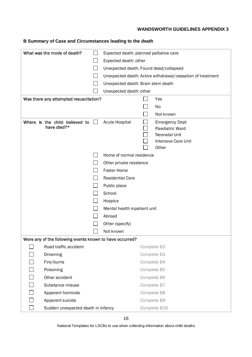| B Summary of Case and Circumstances leading to the death |  |
|----------------------------------------------------------|--|
|----------------------------------------------------------|--|

| What was the mode of death?                              |                                        |                                                            |                            |  |  |  |  |
|----------------------------------------------------------|----------------------------------------|------------------------------------------------------------|----------------------------|--|--|--|--|
|                                                          |                                        | Expected death: planned palliative care                    |                            |  |  |  |  |
|                                                          | Expected death: other                  |                                                            |                            |  |  |  |  |
|                                                          | Unexpected death: Found dead/collapsed |                                                            |                            |  |  |  |  |
|                                                          |                                        | Unexpected death: Active withdrawal/cessation of treatment |                            |  |  |  |  |
|                                                          | Unexpected death: Brain stem death     |                                                            |                            |  |  |  |  |
|                                                          | Unexpected death: other                |                                                            |                            |  |  |  |  |
| Was there any attempted resuscitation?                   |                                        |                                                            | Yes                        |  |  |  |  |
|                                                          |                                        |                                                            | No                         |  |  |  |  |
|                                                          |                                        |                                                            | Not known                  |  |  |  |  |
| Where is the child believed to                           | Acute Hospital                         |                                                            | <b>Emergency Dept</b>      |  |  |  |  |
| have died?*                                              |                                        |                                                            | Paediatric Ward            |  |  |  |  |
|                                                          |                                        |                                                            | Neonatal Unit              |  |  |  |  |
|                                                          |                                        |                                                            | <b>Intensive Care Unit</b> |  |  |  |  |
|                                                          |                                        |                                                            | Other                      |  |  |  |  |
|                                                          | Home of normal residence               |                                                            |                            |  |  |  |  |
|                                                          | Other private residence                |                                                            |                            |  |  |  |  |
|                                                          | <b>Foster Home</b>                     |                                                            |                            |  |  |  |  |
|                                                          | <b>Residential Care</b>                |                                                            |                            |  |  |  |  |
|                                                          | Public place                           |                                                            |                            |  |  |  |  |
|                                                          | School                                 |                                                            |                            |  |  |  |  |
|                                                          | Hospice                                |                                                            |                            |  |  |  |  |
|                                                          | Mental health inpatient unit           |                                                            |                            |  |  |  |  |
|                                                          | Abroad                                 |                                                            |                            |  |  |  |  |
|                                                          | Other (specify)                        |                                                            |                            |  |  |  |  |
|                                                          | Not known                              |                                                            |                            |  |  |  |  |
| Were any of the following events known to have occurred? |                                        |                                                            |                            |  |  |  |  |
| Road traffic accident                                    |                                        | Complete B2                                                |                            |  |  |  |  |
| Drowning                                                 |                                        | Complete B3                                                |                            |  |  |  |  |
| Fire/burns                                               |                                        | Complete B4                                                |                            |  |  |  |  |
| Poisoning                                                |                                        | Complete B5                                                |                            |  |  |  |  |
| Other accident                                           |                                        | Complete B6                                                |                            |  |  |  |  |
| Substance misuse                                         |                                        | Complete B7                                                |                            |  |  |  |  |
| Apparent homicide                                        |                                        | Complete B8                                                |                            |  |  |  |  |
| Apparent suicide                                         |                                        | Complete B9                                                |                            |  |  |  |  |
| Sudden unexpected death in infancy                       |                                        |                                                            | Complete B10               |  |  |  |  |

National Templates for LSCBs to use when collecting information about child deaths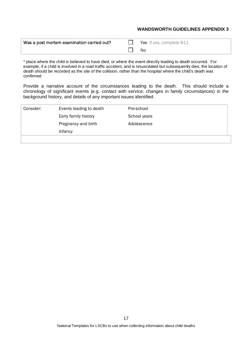| Was a post mortem examination carried out? | Yes If yes, complete B11 |
|--------------------------------------------|--------------------------|
|                                            | No.                      |

\* place where the child is believed to have died, or where the event directly leading to death occurred. For example, if a child is involved in a road traffic accident, and is resuscitated but subsequently dies, the location of death should be recorded as the site of the collision, rather than the hospital where the child's death was confirmed

Provide a narrative account of the circumstances leading to the death. This should include a chronology of significant events (e.g. contact with service; changes in family circumstances) in the background history, and details of any important issues identified.

| Consider: | Events leading to death | Pre-school   |
|-----------|-------------------------|--------------|
|           | Early family history    | School years |
|           | Pregnancy and birth     | Adolescence  |
|           | Infancy                 |              |
|           |                         |              |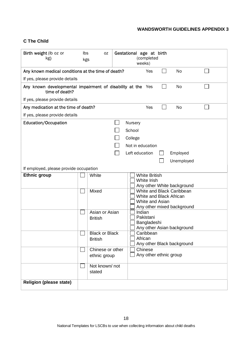# **C The Child**

| Birth weight (lb oz or<br>kg)                                                 | Ibs<br>kgs | 0Z                    | Gestational age at birth<br>(completed<br>weeks) |
|-------------------------------------------------------------------------------|------------|-----------------------|--------------------------------------------------|
| Any known medical conditions at the time of death?                            |            |                       | <b>No</b><br>Yes                                 |
| If yes, please provide details                                                |            |                       |                                                  |
| Any known developmental impairment of disability at the Yes<br>time of death? |            |                       | No                                               |
| If yes, please provide details                                                |            |                       |                                                  |
| Any medication at the time of death?                                          |            |                       | No<br>Yes                                        |
| If yes, please provide details                                                |            |                       |                                                  |
| Education/Occupation                                                          |            |                       | Nursery                                          |
|                                                                               |            |                       | School                                           |
|                                                                               |            |                       | College                                          |
|                                                                               |            |                       | Not in education                                 |
|                                                                               |            |                       | Left education<br>Employed                       |
|                                                                               |            |                       | Unemployed                                       |
| If employed, please provide occupation                                        |            |                       |                                                  |
| <b>Ethnic group</b>                                                           |            | White                 | <b>White British</b>                             |
|                                                                               |            |                       | White Irish<br>Any other White background        |
|                                                                               |            | Mixed                 | White and Black Caribbean                        |
|                                                                               |            |                       | White and Black African<br>White and Asian       |
|                                                                               |            |                       | Any other mixed background                       |
|                                                                               |            | Asian or Asian        | Indian                                           |
|                                                                               |            | <b>British</b>        | Pakistani<br>Bangladeshi                         |
|                                                                               |            |                       | Any other Asian background                       |
|                                                                               |            | <b>Black or Black</b> | Caribbean<br>African                             |
|                                                                               |            | <b>British</b>        | Any other Black background                       |
|                                                                               |            | Chinese or other      | Chinese                                          |
|                                                                               |            | ethnic group          | Any other ethnic group                           |
|                                                                               |            | Not known/not         |                                                  |
|                                                                               |            | stated                |                                                  |
| <b>Religion (please state)</b>                                                |            |                       |                                                  |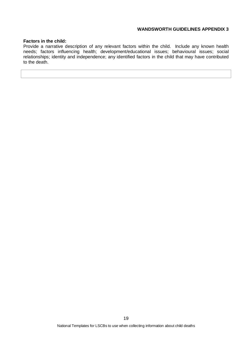#### **Factors in the child:**

Provide a narrative description of any relevant factors within the child. Include any known health needs; factors influencing health; development/educational issues; behavioural issues; social relationships; identity and independence; any identified factors in the child that may have contributed to the death.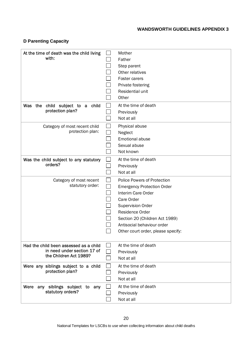# **D Parenting Capacity**

| At the time of death was the child living                             | Mother                             |
|-----------------------------------------------------------------------|------------------------------------|
| with:                                                                 | Father                             |
|                                                                       | Step parent                        |
|                                                                       | Other relatives                    |
|                                                                       | Foster carers                      |
|                                                                       | Private fostering                  |
|                                                                       | Residential unit                   |
|                                                                       | Other                              |
| child subject to a child<br>Was the                                   | At the time of death               |
| protection plan?                                                      | Previously                         |
|                                                                       | Not at all                         |
| Category of most recent child                                         | Physical abuse                     |
| protection plan:                                                      | Neglect                            |
|                                                                       | Emotional abuse                    |
|                                                                       | Sexual abuse                       |
|                                                                       | Not known                          |
| Was the child subject to any statutory                                | At the time of death               |
| orders?                                                               | Previously                         |
|                                                                       | Not at all                         |
| Category of most recent                                               | <b>Police Powers of Protection</b> |
| statutory order:                                                      | <b>Emergency Protection Order</b>  |
|                                                                       | Interim Care Order                 |
|                                                                       | Care Order                         |
|                                                                       | <b>Supervision Order</b>           |
|                                                                       | Residence Order                    |
|                                                                       | Section 20 (Children Act 1989)     |
|                                                                       | Antisocial behaviour order         |
|                                                                       | Other court order, please specify: |
|                                                                       |                                    |
| Had the child been assessed as a child<br>in need under section 17 of | At the time of death               |
| the Children Act 1989?                                                | Previously                         |
|                                                                       | Not at all                         |
| Were any siblings subject to a child                                  | At the time of death               |
| protection plan?                                                      | Previously                         |
|                                                                       | Not at all                         |
| Were any siblings subject to any                                      | At the time of death               |
| statutory orders?                                                     | Previously                         |
|                                                                       | Not at all                         |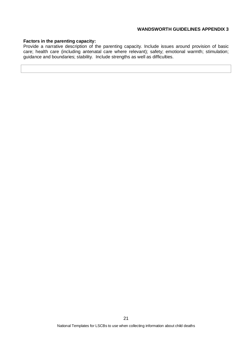#### **Factors in the parenting capacity:**

Provide a narrative description of the parenting capacity. Include issues around provision of basic care; health care (including antenatal care where relevant); safety; emotional warmth; stimulation; guidance and boundaries; stability. Include strengths as well as difficulties.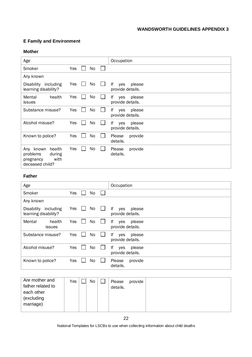# **E Family and Environment**

#### **Mother**

| Age                                                                               |           | Occupation                              |
|-----------------------------------------------------------------------------------|-----------|-----------------------------------------|
| Smoker                                                                            | Yes<br>No |                                         |
| Any known                                                                         |           |                                         |
| Disability including<br>learning disability?                                      | No<br>Yes | lf<br>please<br>yes<br>provide details. |
| Mental<br>health<br><b>issues</b>                                                 | Yes<br>No | lf<br>please<br>yes<br>provide details. |
| Substance misuse?                                                                 | Yes<br>No | lf<br>please<br>yes<br>provide details. |
| Alcohol misuse?                                                                   | Yes<br>No | lf<br>please<br>yes<br>provide details. |
| Known to police?                                                                  | Yes<br>No | Please<br>provide<br>details.           |
| health<br>Any known<br>problems<br>during<br>with<br>pregnancy<br>deceased child? | Yes<br>No | Please<br>provide<br>details.           |

# **Father**

| Age                                                    |           | Occupation                              |
|--------------------------------------------------------|-----------|-----------------------------------------|
| Smoker                                                 | Yes<br>No |                                         |
| Any known                                              |           |                                         |
| <b>Disability</b><br>including<br>learning disability? | Yes<br>No | lf<br>please<br>yes<br>provide details. |
| Mental<br>health<br><b>issues</b>                      | Yes<br>No | lf<br>please<br>yes<br>provide details. |
| Substance misuse?                                      | Yes<br>No | lf<br>please<br>yes<br>provide details. |
| Alcohol misuse?                                        | Yes<br>No | lf<br>please<br>yes<br>provide details. |
| Known to police?                                       | Yes<br>No | Please<br>provide<br>details.           |

| Are mother and<br>father related to<br>each other<br>(excluding<br>marriage) | Yes |  | No |  | Please<br>details. | provide |  |
|------------------------------------------------------------------------------|-----|--|----|--|--------------------|---------|--|
|------------------------------------------------------------------------------|-----|--|----|--|--------------------|---------|--|

National Templates for LSCBs to use when collecting information about child deaths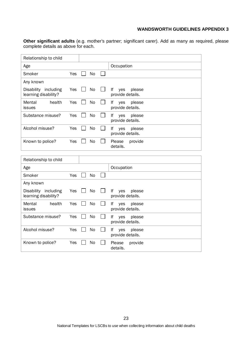**Other significant adults** (e.g. mother's partner; significant carer). Add as many as required, please complete details as above for each.

| Relationship to child                        |     |           |                |                                         |
|----------------------------------------------|-----|-----------|----------------|-----------------------------------------|
| Age                                          |     |           |                | Occupation                              |
| Smoker                                       | Yes | No        | $\mathsf{L}$   |                                         |
| Any known                                    |     |           |                |                                         |
| Disability including<br>learning disability? | Yes | <b>No</b> | $\blacksquare$ | lf<br>please<br>yes<br>provide details. |
| Mental<br>health<br>issues                   | Yes | <b>No</b> |                | lf<br>yes<br>please<br>provide details. |
| Substance misuse?                            | Yes | <b>No</b> |                | lf<br>yes<br>please<br>provide details. |
| Alcohol misuse?                              | Yes | No        |                | lf<br>please<br>yes<br>provide details. |
| Known to police?                             | Yes | No        |                | Please<br>provide<br>details.           |
|                                              |     |           |                |                                         |
| Relationship to child                        |     |           |                |                                         |
| Age                                          |     |           |                | Occupation                              |
| Smoker                                       | Yes | <b>No</b> |                |                                         |
| Any known                                    |     |           |                |                                         |
| Disability including<br>learning disability? | Yes | No        | $\mathbf{I}$   | lf<br>please<br>yes<br>provide details. |
| Mental<br>health<br><b>issues</b>            | Yes | No        |                | lf<br>please<br>yes<br>provide details. |
| Substance misuse?                            | Yes | No        |                | lf<br>please<br>yes<br>provide details. |
| Alcohol misuse?                              | Yes | No        |                | lf<br>please<br>yes<br>provide details. |

Known to police? Yes  $\Box$  No  $\Box$  Please provide

details.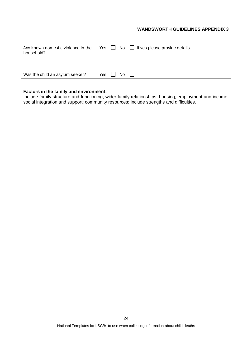| Any known domestic violence in the Yes $\Box$ No $\Box$ If yes please provide details<br>household? |            |       |  |
|-----------------------------------------------------------------------------------------------------|------------|-------|--|
| Was the child an asylum seeker?                                                                     | Yes $\Box$ | No II |  |

## **Factors in the family and environment:**

Include family structure and functioning; wider family relationships; housing; employment and income; social integration and support; community resources; include strengths and difficulties.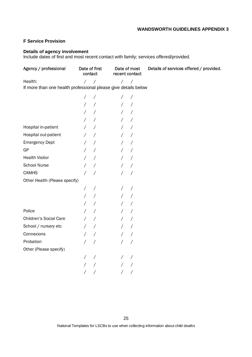# **F Service Provision**

#### **Details of agency involvement**

Include dates of first and most recent contact with family; services offered/provided.

| Agency / professional                                          | contact    | Date of first | Date of most<br>recent contact |                          | Details of services offered / provided. |
|----------------------------------------------------------------|------------|---------------|--------------------------------|--------------------------|-----------------------------------------|
| Health:                                                        | $\sqrt{2}$ | $\sqrt{2}$    | $\sqrt{2}$                     | $\sqrt{2}$               |                                         |
| If more than one health professional please give details below |            |               |                                |                          |                                         |
|                                                                | $\prime$   |               |                                | $\prime$                 |                                         |
|                                                                | $\sqrt{2}$ |               | $\sqrt{2}$                     | $\prime$                 |                                         |
|                                                                |            |               |                                | $\sqrt{2}$               |                                         |
|                                                                | $\sqrt{2}$ |               |                                | $\prime$                 |                                         |
| Hospital in-patient                                            | Γ          |               | $\sqrt{2}$                     | $\sqrt{2}$               |                                         |
| Hospital out-patient                                           |            |               |                                | $\prime$                 |                                         |
| <b>Emergency Dept</b>                                          |            |               |                                | $\prime$                 |                                         |
| GP                                                             | $\prime$   |               | $\sqrt{2}$                     | $\bigg)$                 |                                         |
| <b>Health Visitor</b>                                          |            |               | $\sqrt{2}$                     | $\prime$                 |                                         |
| School Nurse                                                   |            |               |                                | $\prime$                 |                                         |
| <b>CAMHS</b>                                                   |            |               |                                | $\sqrt{2}$               |                                         |
| Other Health (Please specify)                                  |            |               |                                |                          |                                         |
|                                                                | $\sqrt{2}$ |               |                                | $\prime$                 |                                         |
|                                                                |            |               |                                | $\prime$                 |                                         |
|                                                                | Γ          |               |                                | $\prime$                 |                                         |
| Police                                                         | Γ          | $\prime$      | $\sqrt{2}$                     | $\overline{\phantom{a}}$ |                                         |
| Children's Social Care                                         |            |               |                                | $\prime$                 |                                         |
| School / nursery etc                                           |            |               |                                | $\prime$                 |                                         |
| Connexions                                                     | $\prime$   |               | $\sqrt{2}$                     | $\sqrt{2}$               |                                         |
| Probation                                                      |            |               |                                |                          |                                         |
| Other (Please specify)                                         |            |               |                                |                          |                                         |
|                                                                |            |               |                                |                          |                                         |
|                                                                |            |               |                                |                          |                                         |
|                                                                |            |               |                                |                          |                                         |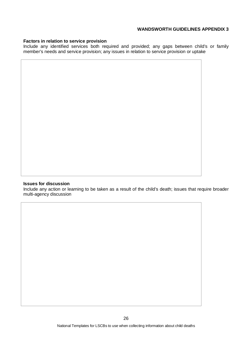#### **Factors in relation to service provision**

Include any identified services both required and provided; any gaps between child's or family member's needs and service provision; any issues in relation to service provision or uptake

#### **Issues for discussion**

Include any action or learning to be taken as a result of the child's death; issues that require broader multi-agency discussion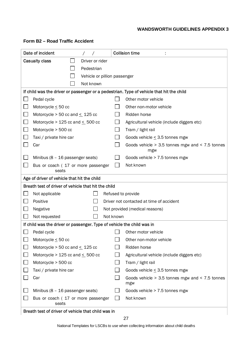| Date of incident                                                                         | <b>Collision time</b>                                      |  |  |  |  |  |  |
|------------------------------------------------------------------------------------------|------------------------------------------------------------|--|--|--|--|--|--|
| <b>Casualty class</b><br>Driver or rider                                                 |                                                            |  |  |  |  |  |  |
| Pedestrian                                                                               |                                                            |  |  |  |  |  |  |
| Vehicle or pillion passenger                                                             |                                                            |  |  |  |  |  |  |
| Not known                                                                                |                                                            |  |  |  |  |  |  |
| If child was the driver or passenger or a pedestrian. Type of vehicle that hit the child |                                                            |  |  |  |  |  |  |
| Pedal cycle                                                                              | Other motor vehicle                                        |  |  |  |  |  |  |
| $\overline{\phantom{a}}$<br>Motorcycle $\leq$ 50 cc                                      | Other non-motor vehicle                                    |  |  |  |  |  |  |
| $\overline{\phantom{a}}$<br>Motorcycle $>$ 50 cc and $\leq$ 125 cc                       | Ridden horse                                               |  |  |  |  |  |  |
| $\overline{\phantom{a}}$<br>Motorcycle > 125 cc and $\leq$ 500 cc                        | Agricultural vehicle (include diggers etc)                 |  |  |  |  |  |  |
| $\overline{\phantom{a}}$<br>Motorcycle > 500 cc                                          | Tram / light rail                                          |  |  |  |  |  |  |
| Taxi / private hire car                                                                  | Goods vehicle $\leq$ 3.5 tonnes mgw                        |  |  |  |  |  |  |
| Car                                                                                      | Goods vehicle $>$ 3.5 tonnes mgw and $<$ 7.5 tonnes<br>mgw |  |  |  |  |  |  |
| Minibus (8 - 16 passenger seats)                                                         | Goods vehicle > 7.5 tonnes mgw                             |  |  |  |  |  |  |
| Bus or coach (17 or more passenger<br>seats                                              | Not known<br>$\Box$                                        |  |  |  |  |  |  |
| Age of driver of vehicle that hit the child                                              |                                                            |  |  |  |  |  |  |
|                                                                                          | Breath test of driver of vehicle that hit the child        |  |  |  |  |  |  |
| Not applicable                                                                           | Refused to provide                                         |  |  |  |  |  |  |
| Positive                                                                                 | Driver not contacted at time of accident                   |  |  |  |  |  |  |
| Negative                                                                                 | Not provided (medical reasons)                             |  |  |  |  |  |  |
| Not requested                                                                            | Not known                                                  |  |  |  |  |  |  |
| If child was the driver or passenger. Type of vehicle the child was in                   |                                                            |  |  |  |  |  |  |
| Pedal cycle                                                                              | Other motor vehicle                                        |  |  |  |  |  |  |
| Motorcycle $\leq$ 50 cc                                                                  | Other non-motor vehicle                                    |  |  |  |  |  |  |
| Motorcycle > 50 cc and $\leq$ 125 cc                                                     | Ridden horse                                               |  |  |  |  |  |  |
| Motorcycle > 125 cc and $\leq$ 500 cc                                                    | Agricultural vehicle (include diggers etc)                 |  |  |  |  |  |  |
| Motorcycle > 500 cc                                                                      | Tram / light rail                                          |  |  |  |  |  |  |
| Taxi / private hire car                                                                  | Goods vehicle $\leq$ 3.5 tonnes mgw                        |  |  |  |  |  |  |
| Car                                                                                      | Goods vehicle $>$ 3.5 tonnes mgw and $<$ 7.5 tonnes<br>mgw |  |  |  |  |  |  |
| Minibus (8 - 16 passenger seats)                                                         | $\Box$<br>Goods vehicle > 7.5 tonnes mgw                   |  |  |  |  |  |  |
| Bus or coach (17 or more passenger<br>seats                                              | $\Box$<br>Not known                                        |  |  |  |  |  |  |
| Breath test of driver of vehicle that child was in                                       |                                                            |  |  |  |  |  |  |

#### Breath test of driver of vehicle that child was in

National Templates for LSCBs to use when collecting information about child deaths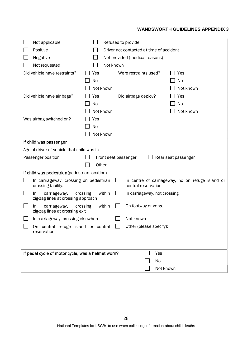| Not applicable<br>Positive<br>Negative                                |           | Refused to provide<br>Driver not contacted at time of accident<br>Not provided (medical reasons) |  |
|-----------------------------------------------------------------------|-----------|--------------------------------------------------------------------------------------------------|--|
| Not requested                                                         |           | Not known                                                                                        |  |
| Did vehicle have restraints?                                          | Yes<br>No | Were restraints used?<br>Yes                                                                     |  |
|                                                                       |           | No<br>Not known<br>Not known                                                                     |  |
| Did vehicle have air bags?                                            | Yes       | Did airbags deploy?<br>Yes                                                                       |  |
|                                                                       | No        | No                                                                                               |  |
|                                                                       |           | Not known<br>Not known                                                                           |  |
| Was airbag switched on?                                               | Yes       |                                                                                                  |  |
|                                                                       | No        |                                                                                                  |  |
|                                                                       |           | Not known                                                                                        |  |
| If child was passenger                                                |           |                                                                                                  |  |
| Age of driver of vehicle that child was in                            |           |                                                                                                  |  |
| Passenger position                                                    |           | Front seat passenger<br>Rear seat passenger                                                      |  |
|                                                                       | Other     |                                                                                                  |  |
| If child was pedestrian (pedestrian location)                         |           |                                                                                                  |  |
| In carriageway, crossing on pedestrian<br>crossing facility.          |           | In centre of carriageway, no on refuge island or<br>central reservation                          |  |
| crossing<br>carriageway,<br>In.<br>zig-zag lines at crossing approach |           | within<br>In carriageway, not crossing                                                           |  |
| carriageway,<br>crossing<br>In.<br>zig-zag lines at crossing exit     |           | On footway or verge<br>within                                                                    |  |
| In carriageway, crossing elsewhere                                    |           | Not known                                                                                        |  |
| reservation                                                           |           | On central refuge island or central $\Box$ Other (please specify):                               |  |
|                                                                       |           |                                                                                                  |  |
| If pedal cycle of motor cycle, was a helmet worn?                     |           | Yes                                                                                              |  |
|                                                                       |           | No                                                                                               |  |
|                                                                       |           | Not known                                                                                        |  |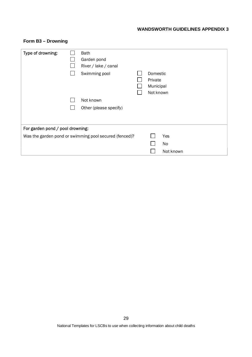| Type of drowning:                | <b>Bath</b><br>Garden pond<br>River / lake / canal<br>Swimming pool | Domestic<br>Private<br>Municipal |           |  |
|----------------------------------|---------------------------------------------------------------------|----------------------------------|-----------|--|
|                                  |                                                                     | Not known                        |           |  |
|                                  | Not known                                                           |                                  |           |  |
|                                  | Other (please specify)                                              |                                  |           |  |
|                                  |                                                                     |                                  |           |  |
| For garden pond / pool drowning: |                                                                     |                                  |           |  |
|                                  | Was the garden pond or swimming pool secured (fenced)?              |                                  | Yes       |  |
|                                  |                                                                     |                                  | No        |  |
|                                  |                                                                     |                                  | Not known |  |

# **Form B3 – Drowning**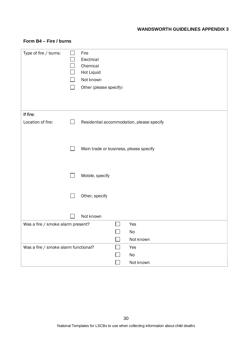| Type of fire / burns:                | $\blacksquare$ | Fire<br>Electrical<br>Chemical<br><b>Hot Liquid</b><br>Not known<br>Other (please specify) |                   |                                           |
|--------------------------------------|----------------|--------------------------------------------------------------------------------------------|-------------------|-------------------------------------------|
| If fire:                             |                |                                                                                            |                   |                                           |
| Location of fire:                    | $\Box$         |                                                                                            |                   | Residential accommodation, please specify |
|                                      | $\Box$         | Main trade or business, please specify                                                     |                   |                                           |
|                                      | $\Box$         | Mobile, specify                                                                            |                   |                                           |
|                                      |                | Other, specify                                                                             |                   |                                           |
|                                      |                | Not known                                                                                  |                   |                                           |
| Was a fire / smoke alarm present?    |                |                                                                                            | П                 | Yes                                       |
|                                      |                |                                                                                            |                   | No                                        |
|                                      |                |                                                                                            |                   | Not known                                 |
| Was a fire / smoke alarm functional? |                |                                                                                            | $\vert \ \ \vert$ | Yes                                       |
|                                      |                |                                                                                            |                   | No                                        |
|                                      |                |                                                                                            |                   | Not known                                 |

# **Form B4 – Fire / burns**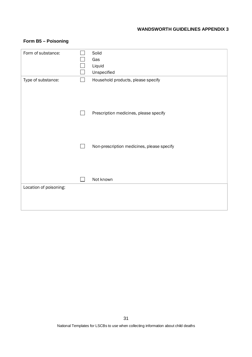# **Form B5 – Poisoning**

| Form of substance:     |        | Solid                                      |
|------------------------|--------|--------------------------------------------|
|                        |        | Gas                                        |
|                        |        | Liquid                                     |
|                        |        | Unspecified                                |
| Type of substance:     | $\sim$ | Household products, please specify         |
|                        |        |                                            |
|                        |        |                                            |
|                        |        |                                            |
|                        |        |                                            |
|                        |        | Prescription medicines, please specify     |
|                        |        |                                            |
|                        |        |                                            |
|                        |        |                                            |
|                        |        |                                            |
|                        |        | Non-prescription medicines, please specify |
|                        |        |                                            |
|                        |        |                                            |
|                        |        |                                            |
|                        |        |                                            |
|                        |        | Not known                                  |
| Location of poisoning: |        |                                            |
|                        |        |                                            |
|                        |        |                                            |
|                        |        |                                            |
|                        |        |                                            |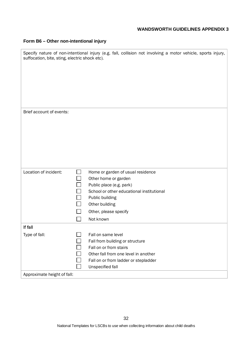# **Form B6 – Other non-intentional injury**

| suffocation, bite, sting, electric shock etc). | Specify nature of non-intentional injury (e.g. fall, collision not involving a motor vehicle, sports injury, |
|------------------------------------------------|--------------------------------------------------------------------------------------------------------------|
|                                                |                                                                                                              |
|                                                |                                                                                                              |
|                                                |                                                                                                              |
|                                                |                                                                                                              |
|                                                |                                                                                                              |
| Brief account of events:                       |                                                                                                              |
|                                                |                                                                                                              |
|                                                |                                                                                                              |
|                                                |                                                                                                              |
|                                                |                                                                                                              |
|                                                |                                                                                                              |
|                                                |                                                                                                              |
| Location of incident:                          | Home or garden of usual residence                                                                            |
|                                                | Other home or garden                                                                                         |
|                                                | Public place (e.g. park)                                                                                     |
|                                                | School or other educational institutional                                                                    |
|                                                | Public building                                                                                              |
|                                                | Other building                                                                                               |
|                                                | Other, please specify                                                                                        |
|                                                | Not known                                                                                                    |
| If fall                                        |                                                                                                              |
| Type of fall:                                  | Fall on same level                                                                                           |
|                                                | Fall from building or structure                                                                              |
|                                                | Fall on or from stairs                                                                                       |
|                                                | Other fall from one level in another                                                                         |
|                                                | Fall on or from ladder or stepladder                                                                         |
|                                                | Unspecified fall                                                                                             |
| Approximate height of fall:                    |                                                                                                              |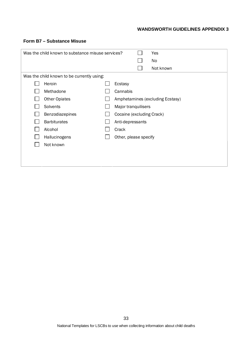## **Form B7 – Substance Misuse**

| Was the child known to substance misuse services? |                                            |  |                           | Yes                              |
|---------------------------------------------------|--------------------------------------------|--|---------------------------|----------------------------------|
|                                                   |                                            |  |                           | No                               |
|                                                   |                                            |  |                           | Not known                        |
|                                                   | Was the child known to be currently using: |  |                           |                                  |
|                                                   | Heroin                                     |  | Ecstasy                   |                                  |
|                                                   | Methadone                                  |  | Cannabis                  |                                  |
|                                                   | <b>Other Opiates</b>                       |  |                           | Amphetamines (excluding Ecstasy) |
|                                                   | Solvents                                   |  | Major tranquilisers       |                                  |
|                                                   | Benzodiazepines                            |  | Cocaine (excluding Crack) |                                  |
|                                                   | <b>Barbiturates</b>                        |  | Anti-depressants          |                                  |
|                                                   | Alcohol                                    |  | Crack                     |                                  |
|                                                   | Hallucinogens                              |  | Other, please specify     |                                  |
|                                                   | Not known                                  |  |                           |                                  |
|                                                   |                                            |  |                           |                                  |
|                                                   |                                            |  |                           |                                  |
|                                                   |                                            |  |                           |                                  |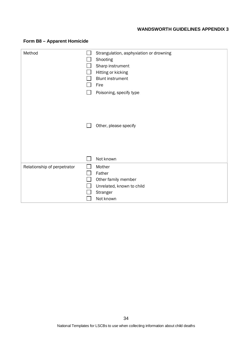| Method                      | Strangulation, asphyxiation or drowning<br>Shooting<br>Sharp instrument<br>Hitting or kicking<br><b>Blunt instrument</b><br>Fire<br>Poisoning, specify type<br>Other, please specify |
|-----------------------------|--------------------------------------------------------------------------------------------------------------------------------------------------------------------------------------|
| Relationship of perpetrator | Not known<br>Mother<br>Father<br>Other family member<br>Unrelated, known to child<br>Stranger<br>Not known                                                                           |

# **Form B8 – Apparent Homicide**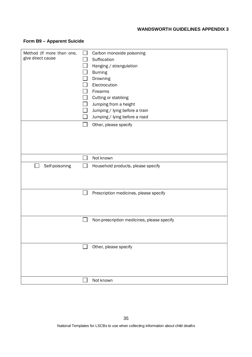# **Form B9 – Apparent Suicide**

| Method (If more than one, | Carbon monoxide poisoning                  |
|---------------------------|--------------------------------------------|
| give direct cause         | Suffocation                                |
|                           | Hanging / strangulation                    |
|                           | <b>Burning</b>                             |
|                           | Drowning                                   |
|                           | Electrocution                              |
|                           | Firearms                                   |
|                           | Cutting or stabbing                        |
|                           | Jumping from a height                      |
|                           | Jumping / lying before a train             |
|                           | Jumping / lying before a road              |
|                           | Other, please specify                      |
|                           |                                            |
|                           |                                            |
|                           |                                            |
|                           |                                            |
|                           | Not known                                  |
| Self-poisoning            | Household products, please specify         |
|                           |                                            |
|                           |                                            |
|                           |                                            |
|                           | Prescription medicines, please specify     |
|                           |                                            |
|                           |                                            |
|                           |                                            |
|                           | Non-prescription medicines, please specify |
|                           |                                            |
|                           |                                            |
|                           |                                            |
|                           | Other, please specify                      |
|                           |                                            |
|                           |                                            |
|                           |                                            |
|                           |                                            |
|                           | Not known                                  |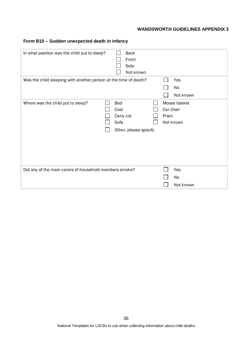# **Form B10 – Sudden unexpected death in infancy**

| In what position was the child put to sleep?                     | <b>Back</b><br>Front<br>Side<br>Not known                 |                                                |
|------------------------------------------------------------------|-----------------------------------------------------------|------------------------------------------------|
| Was the child sleeping with another person at the time of death? |                                                           | Yes<br>No<br>Not known                         |
| Where was the child put to sleep?                                | Bed<br>Cost<br>Carry cot<br>Sofa<br>Other, please specify | Moses basket<br>Car chair<br>Pram<br>Not known |
| Did any of the main carers of household members smoke?           |                                                           | Yes<br>No<br>Not known                         |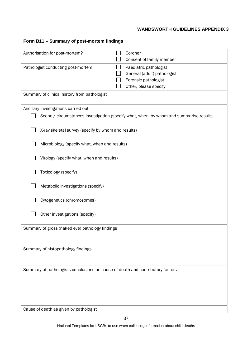# **Form B11 – Summary of post-mortem findings**

| Authorisation for post-mortem?                                                 | Coroner | Consent of family member                                                                               |
|--------------------------------------------------------------------------------|---------|--------------------------------------------------------------------------------------------------------|
| Pathologist conducting post-mortem                                             |         | Paediatric pathologist<br>General (adult) pathologist<br>Forensic pathologist<br>Other, please specify |
| Summary of clinical history from pathologist                                   |         |                                                                                                        |
| Ancillary investigations carried out                                           |         |                                                                                                        |
|                                                                                |         | Scene / circumstances investigation (specify what, when, by whom and summarise results                 |
|                                                                                |         |                                                                                                        |
| X-ray skeletal survey (specify by whom and results)                            |         |                                                                                                        |
| Microbiology (specify what, when and results)                                  |         |                                                                                                        |
| Virology (specify what, when and results)                                      |         |                                                                                                        |
| Toxicology (specify)                                                           |         |                                                                                                        |
| Metabolic investigations (specify)                                             |         |                                                                                                        |
| Cytogenetics (chromosomes)                                                     |         |                                                                                                        |
| Other investigations (specify)                                                 |         |                                                                                                        |
| Summary of gross (naked eye) pathology findings                                |         |                                                                                                        |
|                                                                                |         |                                                                                                        |
|                                                                                |         |                                                                                                        |
| Summary of histopathology findings                                             |         |                                                                                                        |
|                                                                                |         |                                                                                                        |
|                                                                                |         |                                                                                                        |
| Summary of pathologists conclusions on cause of death and contributory factors |         |                                                                                                        |
|                                                                                |         |                                                                                                        |
|                                                                                |         |                                                                                                        |
|                                                                                |         |                                                                                                        |
|                                                                                |         |                                                                                                        |
| Cause of death as given by pathologist                                         |         |                                                                                                        |

National Templates for LSCBs to use when collecting information about child deaths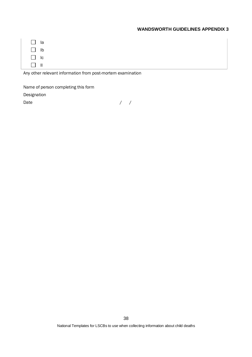| I la                               |  |  |
|------------------------------------|--|--|
| $\vert \vert$ Ib                   |  |  |
| $\Box$ Ic                          |  |  |
| $\mathsf{I} \mathsf{I} \mathsf{I}$ |  |  |

Any other relevant information from post-mortem examination

Name of person completing this form

Designation

Date / / /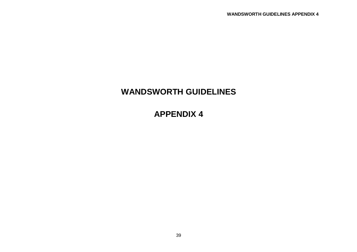# **WANDSWORTH GUIDELINES**

**APPENDIX 4**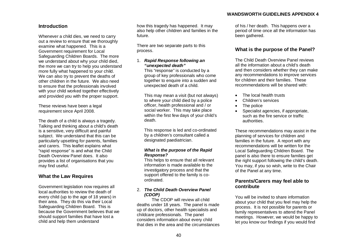#### **Introduction**

Whenever a child dies, we need to carry out a review to ensure that we thoroughly examine what happened. This is a Government requirement for Local Safeguarding Children Boards. The more we understand about why your child died, the more we can try to help you understand more fully what happened to your child. We can also try to prevent the deaths of other children in the future. We also need to ensure that the professionals involved with your child worked together effectively and provided you with the proper support.

These reviews have been a legal requirement since April 2008.

The death of a child is always a tragedy. Talking and thinking about a child's death is a sensitive, very difficult and painful subject. We understand that this can be particularly upsetting for parents, families and carers. This leaflet explains what "rapid response" is and what the Child Death Overview Panel does. It also provides a list of organisations that you may find useful.

#### **What the Law Requires**

Government legislation now requires all local authorities to review the death of every child (up to the age of 18 years) in their area. They do this via their Local Safeguarding Children Board. This is because the Government believes that we should support families that have lost a child and help them understand

how this tragedy has happened. It may also help other children and families in the future.

There are two separate parts to this process.

#### 1. **Rapid Response following an "unexpected death"**

 This "response" is conducted by a group of key professionals who come together to enquire into a sudden and unexpected death of a child.

 This may mean a visit (but not always) to where your child died by a police officer, health professional and / or social worker. This may take place within the first few days of your child's death.

 This response is led and co-ordinated by a children's consultant called a designated paediatrician.

#### **What is the purpose of the Rapid Response?**

 This helps to ensure that all relevant information is made available to the investigatory process and that the support offered to the family is coordinated.

#### 2. **The Child Death Overview Panel (CDOP)**

 The CDOP will review all child deaths under 18 years. The panel is made up of doctors, other health specialists and childcare professionals. The panel considers information about every child that dies in the area and the circumstances of his / her death. This happens over a period of time once all the information has been gathered.

#### **What is the purpose of the Panel?**

The Child Death Overview Panel reviews all the information about a child's death and then considers whether they can make any recommendations to improve services for children and their families. These recommendations will be shared with:

- The local health trusts
- � Children's services
- The police
- Specialist agencies, if appropriate, such as the fire service or traffic authorities.

These recommendations may assist in the planning of services for children and families in the future. A report with any recommendations will be written for the Local Safeguarding Children Board. The panel is also there to ensure families get the right support following the child's death. You may, if you so wish, write to the Chair of the Panel at any time.

### **Parents/Carers may feel able to contribute**

You will be invited to share information about your child that you feel may help the process. It is not possible for parents or family representatives to attend the Panel meetings. However, we would be happy to let you know our findings if you would find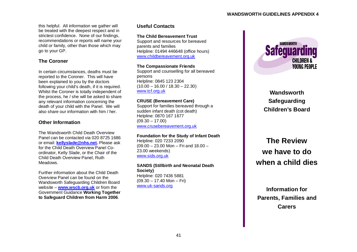this helpful. All information we gather will be treated with the deepest respect and in strictest confidence. None of our findings, recommendations or reports will name your child or family, other than those which may go to your GP.

# **The Coroner**

In certain circumstances, deaths must be reported to the Coroner. This will have been explained to you by the doctors following your child's death, if it is required. Whilst the Coroner is totally independent of the process, he / she will be asked to share any relevant information concerning the death of your child with the Panel. We will also share our information with him / her.

# **Other Information**

The Wandsworth Child Death Overview Panel can be contacted via 020 8725 1686 or email: **kellyslade@nhs.net.** Please ask for the Child Death Overview Panel Coordinator, Kelly Slade, or the Chair of the Child Death Overview Panel, Ruth Meadows.

Further information about the Child Death Overview Panel can be found on the Wandsworth Safeguarding Children Board website – **www.wscb.org.uk** or from the Government Guidance **Working Together to Safeguard Children from Harm 2006**.

# **Useful Contacts**

#### **The Child Bereavement Trust**

Support and resources for bereaved parents and families Helpline: 01494 446648 (office hours) www.childbereavement.org.uk

## **The Compassionate Friends**

Support and counselling for all bereaved persons Helpline: 0845 123 2304  $(10.00 - 16.00 / 18.30 - 22.30)$ www.tcf.org.uk

## **CRUSE (Bereavement Care)**

Support for families bereaved through a sudden infant death (cot death) Helpline: 0870 167 1677  $(09.30 - 17.00)$ www.crusebereavement.org.uk

## **Foundation for the Study of Infant Death**

Helpline: 020 7233 2090 (09.00 – 23.00 Mon – Fri and 18.00 – 23.00 weekends) www.sids.org.uk

#### **SANDS (Stillbirth and Neonatal Death Society)** Helpline: 020 7436 5881  $(09.30 - 17.40$  Mon – Fri) www.uk-sands.org



**Wandsworth Safeguarding Children's Board**

**The Review we have to do when a child dies**

**Information for Parents, Families and Carers**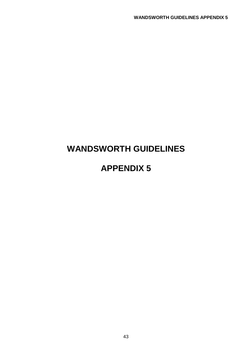# **WANDSWORTH GUIDELINES**

# **APPENDIX 5**